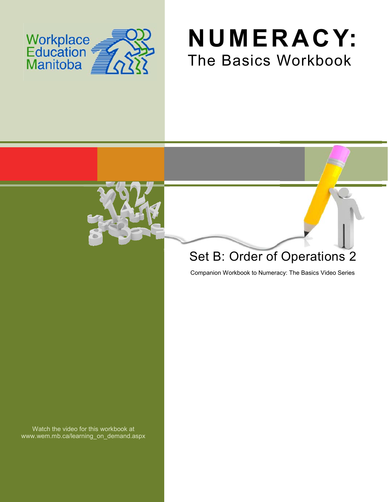

# **NUMERACY:** The Basics Workbook



## Set B: Order of Operations 2

Companion Workbook to Numeracy: The Basics Video Series

Watch the video for this workbook at www.wem.mb.ca/learning\_on\_demand.aspx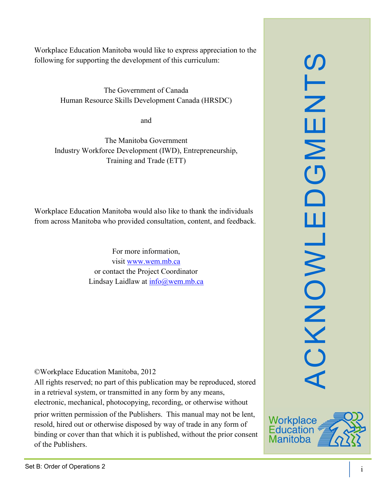The Government of Canada Human Resource Skills Development Canada (HRSDC)

and

The Manitoba Government Industry Workforce Development (IWD), Entrepreneurship, Training and Trade (ETT)

Workplace Education Manitoba would also like to thank the individuals from across Manitoba who provided consultation, content, and feedback.

> For more information, visit [www.wem.mb.ca](http://www.wem.mb.ca/) or contact the Project Coordinator Lindsay Laidlaw at [info@wem.mb.ca](mailto:info@wem.mb.ca)

©Workplace Education Manitoba, 2012

All rights reserved; no part of this publication may be reproduced, stored in a retrieval system, or transmitted in any form by any means, electronic, mechanical, photocopying, recording, or otherwise without

prior written permission of the Publishers. This manual may not be lent, resold, hired out or otherwise disposed by way of trade in any form of binding or cover than that which it is published, without the prior consent of the Publishers.



ACKNOWLEDGMENTS

CKNOWL

ш

 $\Box$ 

SLN

ш

 $\mathsf{\Sigma}$ 

 $\overline{O}$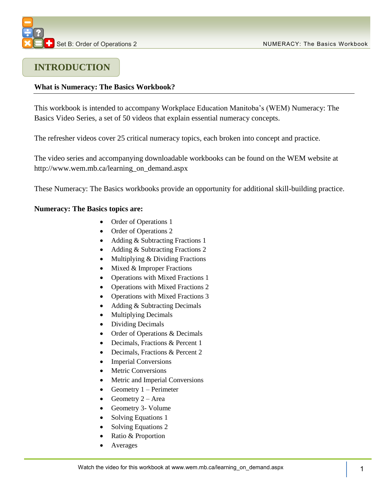### **INTRODUCTION**

### **What is Numeracy: The Basics Workbook?**

This workbook is intended to accompany Workplace Education Manitoba's (WEM) Numeracy: The Basics Video Series, a set of 50 videos that explain essential numeracy concepts.

The refresher videos cover 25 critical numeracy topics, each broken into concept and practice.

The video series and accompanying downloadable workbooks can be found on the WEM website at [http://www.wem.mb.ca/learning\\_on\\_demand.aspx](http://www.wem.mb.ca/learning_on_demand.aspx)

These Numeracy: The Basics workbooks provide an opportunity for additional skill-building practice.

### **Numeracy: The Basics topics are:**

- Order of Operations 1
- Order of Operations 2
- Adding & Subtracting Fractions 1
- Adding & Subtracting Fractions 2
- Multiplying & Dividing Fractions
- $\bullet$  Mixed & Improper Fractions
- Operations with Mixed Fractions 1
- Operations with Mixed Fractions 2
- Operations with Mixed Fractions 3
- Adding & Subtracting Decimals
- Multiplying Decimals
- Dividing Decimals
- Order of Operations & Decimals
- Decimals, Fractions & Percent 1
- Decimals, Fractions & Percent 2
- Imperial Conversions
- Metric Conversions
- Metric and Imperial Conversions
- Geometry  $1 -$  Perimeter
- Geometry  $2 Area$
- Geometry 3- Volume
- Solving Equations 1
- Solving Equations 2
- Ratio & Proportion
- Averages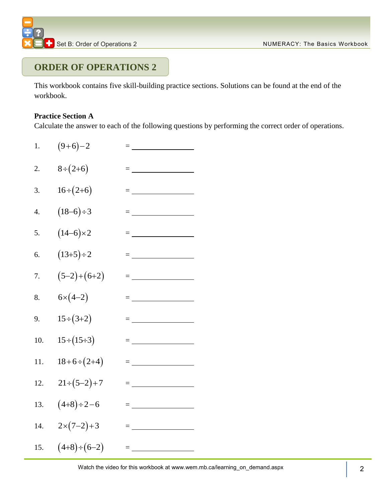## **ORDER OF OPERATIONS 2**

This workbook contains five skill-building practice sections. Solutions can be found at the end of the workbook.

### **Practice Section A**

Calculate the answer to each of the following questions by performing the correct order of operations.

- 1.  $(9+6)-2$ =
- 2. 8 2 6 =
- 3.  $16 \div (2 + 6)$  $=$  <u>\_\_\_\_\_\_\_\_\_\_\_\_\_\_\_\_\_</u>
- 4.  $(18 - 6) \div 3$ =
- 5.  $(14 - 6) \times 2$  $= \underbrace{\qquad \qquad }_{\qquad \qquad \qquad \qquad }=\underbrace{\qquad \qquad }_{\qquad \qquad \qquad }=\underbrace{\qquad \qquad }_{\qquad \qquad \qquad }$
- 6.  $(13 + 5) \div 2$  $=$   $\sim$   $\sim$   $\sim$   $\sim$   $\sim$
- 7.  $(5-2)+(6+2)$  $=$   $\frac{1}{2}$  . The set of  $\frac{1}{2}$  ,  $\frac{1}{2}$  ,  $\frac{1}{2}$  ,  $\frac{1}{2}$  ,  $\frac{1}{2}$  ,  $\frac{1}{2}$  ,  $\frac{1}{2}$  ,  $\frac{1}{2}$  ,  $\frac{1}{2}$  ,  $\frac{1}{2}$  ,  $\frac{1}{2}$  ,  $\frac{1}{2}$  ,  $\frac{1}{2}$  ,  $\frac{1}{2}$  ,  $\frac{1}{2}$  ,  $\frac{1}{2}$  ,  $\$
- 8.  $6 \times (4 - 2)$  $=\underbrace{\qquad \qquad }_{\qquad \qquad \qquad }\qquad \qquad =\qquad \qquad$
- 9.  $15 \div (3 + 2)$  $=$   $\frac{1}{2}$  . The set of  $\frac{1}{2}$  ,  $\frac{1}{2}$  ,  $\frac{1}{2}$  ,  $\frac{1}{2}$  ,  $\frac{1}{2}$  ,  $\frac{1}{2}$  ,  $\frac{1}{2}$  ,  $\frac{1}{2}$  ,  $\frac{1}{2}$  ,  $\frac{1}{2}$  ,  $\frac{1}{2}$  ,  $\frac{1}{2}$  ,  $\frac{1}{2}$  ,  $\frac{1}{2}$  ,  $\frac{1}{2}$  ,  $\frac{1}{2}$  ,  $\$
- 10.  $15 \div (15 \div 3) =$
- 11.  $18 + 6 \div (2 + 4)$  $=$  <u>\_\_\_\_\_\_\_\_\_\_\_\_\_\_\_\_\_</u>
- 12.  $21 \div (5 - 2) + 7$ =
- 13.  $(4+8) \div 2-6$  $\equiv$  and  $\equiv$  and  $\equiv$
- 14.  $2 \times (7 - 2) + 3$ =
- 15.  $(4+8) \div (6-2)$  $\equiv$  100  $\pm$  100  $\pm$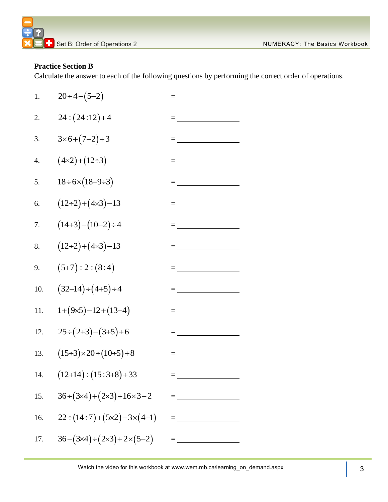### **Practice Section B**

Calculate the answer to each of the following questions by performing the correct order of operations.

| 1.               | $20 \div 4 - (5 - 2)$                                   | $=\underbrace{\qquad \qquad }_{\qquad \qquad \qquad }\qquad \qquad ~~\qquad \qquad ~~\qquad \qquad ~~\qquad \qquad ~~\qquad \qquad ~~\qquad \qquad ~~\qquad \qquad ~~\qquad \qquad ~~\qquad \qquad ~~\qquad \qquad ~~\qquad \qquad ~~\qquad \qquad ~~\qquad \qquad ~~\qquad \qquad ~~\qquad \qquad ~~\qquad \qquad ~~\qquad \qquad ~~\qquad \qquad ~~\qquad \qquad ~~\qquad \qquad ~~\qquad \qquad ~~\qquad \qquad ~~\qquad \qquad ~~\qquad \qquad ~~\qquad \qquad ~~\qquad \qquad ~~\qquad \qquad ~~\qquad \qquad ~~\qquad \$ |
|------------------|---------------------------------------------------------|--------------------------------------------------------------------------------------------------------------------------------------------------------------------------------------------------------------------------------------------------------------------------------------------------------------------------------------------------------------------------------------------------------------------------------------------------------------------------------------------------------------------------------|
| 2.               | $24 \div (24 \div 12) + 4$                              |                                                                                                                                                                                                                                                                                                                                                                                                                                                                                                                                |
| 3.               | $3 \times 6 + (7 - 2) + 3$                              |                                                                                                                                                                                                                                                                                                                                                                                                                                                                                                                                |
| $\overline{4}$ . | $(4 \times 2) + (12 \div 3)$                            |                                                                                                                                                                                                                                                                                                                                                                                                                                                                                                                                |
| 5.               | $18 \div 6 \times (18 - 9 \div 3)$                      | = ________________                                                                                                                                                                                                                                                                                                                                                                                                                                                                                                             |
| 6.               | $(12\div 2) + (4\times 3) - 13$                         | $= \underbrace{\qquad \qquad }_{\hspace{15mm} \hspace{15mm} \hspace{15mm} } \qquad \qquad \qquad \ldots \qquad \qquad }_{\hspace{15mm} \hspace{15mm} \hspace{15mm} }$                                                                                                                                                                                                                                                                                                                                                          |
| 7.               | $(14+3)-(10-2)\div 4$                                   | $= \underbrace{\qquad \qquad }_{\hspace{15pt} \hspace{15pt} \hspace{15pt} \hspace{15pt} \hspace{15pt} \hspace{15pt} \hspace{15pt} \hspace{15pt} \hspace{15pt} \hspace{15pt} \hspace{15pt} \hspace{15pt} \hspace{15pt} \hspace{15pt} \hspace{15pt} \hspace{15pt} \hspace{15pt} \hspace{15pt} \hspace{15pt} \hspace{15pt} \hspace{15pt} \hspace{15pt} \hspace{15pt} \hspace{15pt} \hspace{15pt} \hspace{15pt}$                                                                                                                   |
| 8.               | $(12\div 2) + (4\times 3) - 13$                         |                                                                                                                                                                                                                                                                                                                                                                                                                                                                                                                                |
| 9.               | $(5+7)\div 2 \div (8 \div 4)$                           |                                                                                                                                                                                                                                                                                                                                                                                                                                                                                                                                |
| 10.              | $(32-14) \div (4+5) \div 4$                             |                                                                                                                                                                                                                                                                                                                                                                                                                                                                                                                                |
| 11.              | $1+(9\times5)-12+(13-4)$                                | $=$ $\frac{1}{\sqrt{2\pi}}$                                                                                                                                                                                                                                                                                                                                                                                                                                                                                                    |
| 12.              | $25 \div (2+3) - (3+5) + 6$                             |                                                                                                                                                                                                                                                                                                                                                                                                                                                                                                                                |
| 13.              | $(15\div 3) \times 20 \div (10\div 5) + 8$              | = ___________________                                                                                                                                                                                                                                                                                                                                                                                                                                                                                                          |
| 14.              | $(12+14) \div (15 \div 3 + 8) + 33$                     | <u> 1989 - Johann Barbara, martxa a</u>                                                                                                                                                                                                                                                                                                                                                                                                                                                                                        |
| 15.              | $36 \div (3 \times 4) + (2 \times 3) + 16 \times 3 - 2$ |                                                                                                                                                                                                                                                                                                                                                                                                                                                                                                                                |
| 16.              | $22 \div (14 \div 7) + (5 \times 2) - 3 \times (4 - 1)$ |                                                                                                                                                                                                                                                                                                                                                                                                                                                                                                                                |
| 17.              | $36-(3\times4)+(2\times3)+2\times(5-2)$                 | $= \begin{array}{cccccccccc} \multicolumn{2}{c}{} & \multicolumn{2}{c}{} & \multicolumn{2}{c}{} & \multicolumn{2}{c}{} & \multicolumn{2}{c}{} & \multicolumn{2}{c}{} & \multicolumn{2}{c}{} & \multicolumn{2}{c}{} & \multicolumn{2}{c}{} & \multicolumn{2}{c}{} & \multicolumn{2}{c}{} & \multicolumn{2}{c}{} & \multicolumn{2}{c}{} & \multicolumn{2}{c}{} & \multicolumn{2}{c}{} & \multicolumn{2}{c}{} & \multicolumn{2}{c}{} & \multicolumn{2}{c}{} & \multicolumn{2}{c}{} & \$                                           |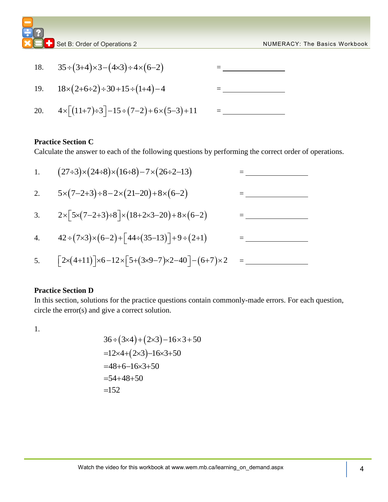|     | Set B: Order of Operations 2                                                 | <b>NUMERACY: The Basics Workbook</b> |
|-----|------------------------------------------------------------------------------|--------------------------------------|
| 18. | $35 \div (3 + 4) \times 3 - (4 \times 3) \div 4 \times (6 - 2)$              |                                      |
| 19. | $18\times(2+6\div2)\div30+15\div(1+4)-4$                                     |                                      |
| 20. | $4 \times \lceil (11+7) \div 3 \rceil - 15 \div (7-2) + 6 \times (5-3) + 11$ |                                      |

### **Practice Section C**

| Calculate the answer to each of the following questions by performing the correct order of operations. |                                                                                                                        |  |  |  |
|--------------------------------------------------------------------------------------------------------|------------------------------------------------------------------------------------------------------------------------|--|--|--|
| 1.                                                                                                     | $(27\div 3)\times (24\div 8)\times (16\div 8) - 7\times (26\div 2-13)$                                                 |  |  |  |
| 2.                                                                                                     | $5 \times (7 - 2 + 3) \div 8 - 2 \times (21 - 20) + 8 \times (6 - 2)$                                                  |  |  |  |
| 3.                                                                                                     | $2 \times \lceil 5 \times (7 - 2 + 3) \cdot 8 \rceil \times (18 + 2 \times 3 - 20) + 8 \times (6 - 2)$                 |  |  |  |
| $\overline{4}$ .                                                                                       | $42 \div (7 \times 3) \times (6 - 2) + [44 \div (35 - 13)] + 9 \div (2 + 1)$                                           |  |  |  |
| 5.                                                                                                     | $\lceil 2 \times (4+11) \rceil \times 6 - 12 \times \lceil 5 + (3 \times 9 - 7) \times 2 - 40 \rceil - (6+7) \times 2$ |  |  |  |

#### **Practice Section D**

In this section, solutions for the practice questions contain commonly-made errors. For each question, circle the error(s) and give a correct solution.

1.

$$
36 \div (3 \times 4) + (2 \times 3) - 16 \times 3 + 50
$$
  
=12 \times 4 + (2 \times 3) - 16 \times 3 + 50  
=48+6-16 \times 3 + 50  
=54+48+50  
=152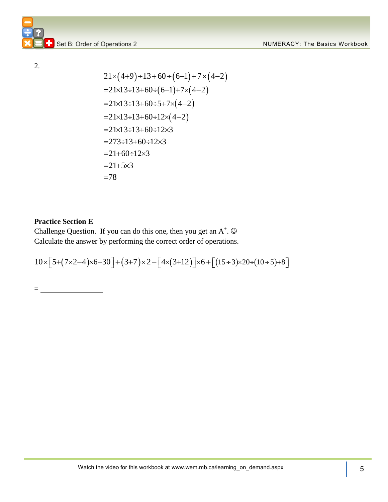2.

$$
21 \times (4+9) \div 13 + 60 \div (6-1) + 7 \times (4-2)
$$
  
=21×13 \div 13+60 \div (6-1)+7×(4-2)  
=21×13 \div 13+60 \div 5+7 \times (4-2)  
=21×13 \div 13+60 \div 12 \times (4-2)  
=21×13 \div 13+60 \div 12 \times 3  
=273 \div 13+60 \div 12 \times 3  
=21+60 \div 12 \times 3  
=21+5×3  
=78

### **Practice Section E**

=

Challenge Question. If you can do this one, then you get an  $A^+$ .  $\odot$ Calculate the answer by performing the correct order of operations. Challenge Question. If you can do this one, then you get an A<sup>+</sup>. ©<br>Calculate the answer by performing the correct order of operations.<br> $10 \times [5+(7\times2-4)\times6-30] + (3+7)\times2- [4\times(3+12)]\times6+[(15\div3)\times20\div(10\div5)+8]$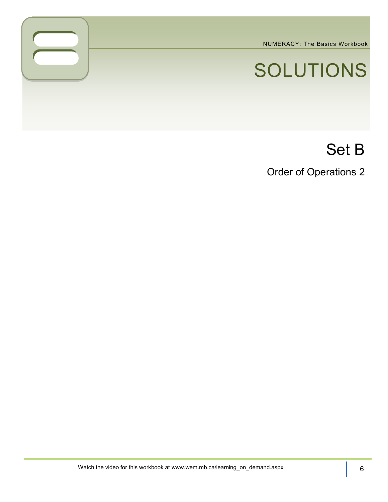NUMERACY: The Basics Workbook

# SOLUTIONS

# Set B

Order of Operations 2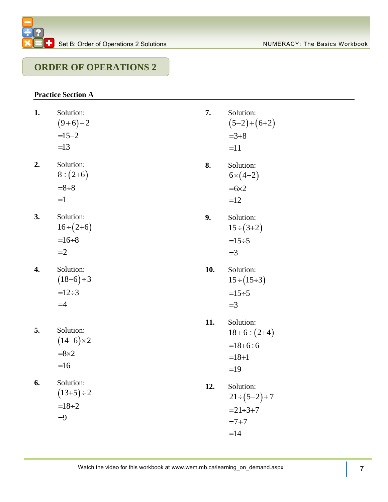### **ORDER OF OPERATIONS 2**

### **Practice Section A**

- **1.** Solution:  $(9+6)-2$  $=15 - 2$  $=13$
- **2.** Solution:  $8 \div (2 + 6)$  $=8 \div 8$  $=1$
- **3.** Solution:  $16 \div (2 + 6)$  $=16 \div 8$  $=2$
- **4.** Solution:  $(18 - 6) \div 3$  $=12 \div 3$  $=4$
- **5.** Solution:  $(14 - 6) \times 2$  $= 8 \times 2$  $=16$
- **6.** Solution:  $(13 + 5) \div 2$  $=18 \div 2$ 9
- **7.** Solution:  $(5-2)+(6+2)$  $=3+8$  $=11$
- **8.** Solution:  $6 \times (4 - 2)$  $= 6 \times 2$  $=12$
- **9.** Solution:  $15 \div (3 + 2)$  $=15 \div 5$  $=$ 3
- **10.** Solution:  $15 \div (15 \div 3)$  $=15 \div 5$  $=$ 3
- **11.** Solution:  $18 + 6 \div (2 + 4)$  $=18 + 6 \div 6$  $=18 + 1$  $=19$
- **12.** Solution:  $21 \div (5 - 2) + 7$  $= 21 \div 3 + 7$  $= 7 + 7$  $=14$
- Watch the video for this workbook at www.wem.mb.ca/learning\_on\_demand.aspx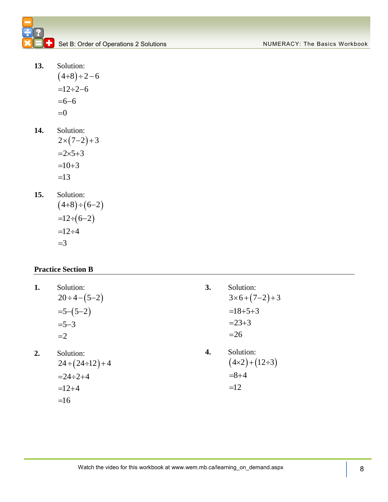- **13.** Solution:  $(4+8)\div 2-6$  $=12 \div 2 - 6$  $= 6 - 6$  $=0$
- **14.** Solution:
	- $2 \times (7 2) + 3$  $=2\times 5+3$  $=10 + 3$  $=13$
- **15.** Solution:
	- $(4+8) \div (6-2)$  $=12 \div (6 - 2)$  $=12 \div 4$  $=$ 3

### **Practice Section B**

- **1.** Solution:  $20 \div 4 - (5 - 2)$  $=5-(5-2)$  $= 5 - 3$  $=2$
- **2.** Solution:  $= 24 \div 2 + 4$  $=12 + 4$ 
	- $=16$

**3.** Solution:  $3 \times 6 + (7 - 2) + 3$  $=18 + 5 + 3$  $= 23 + 3$  $=26$ 

 $24 \div (24 \div 12) + 4$ 

**4.** Solution:  $(4 \times 2) + (12 \div 3)$  $= 8 + 4$  $=12$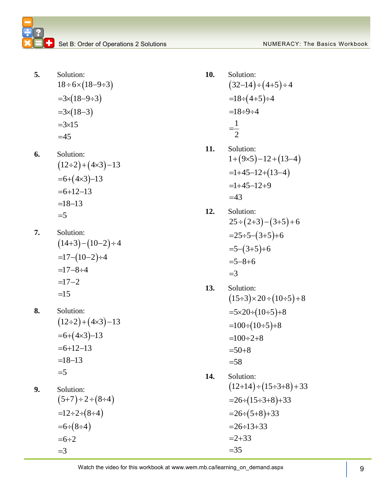- **5.** Solution:  $18 \div 6 \times (18 - 9 \div 3)$  $=3\times(18 - 9 \div 3)$  $=3\times(18-3)$  $=3\times15$  $=45$
- **6.** Solution:  $(12\div 2) + (4\times 3) - 13$  $=6+(4\times3)-13$  $= 6 + 12 - 13$  $=18 - 13$  $=$ 5
- **7.** Solution:  $(14+3)-(10-2)\div 4$  $=17 - (10 - 2) \div 4$  $=17 - 8 \div 4$  $=17 - 2$  $=15$
- **8.** Solution:  $(12\div 2) + (4\times 3) - 13$  $=6+(4\times3)-13$  $= 6 + 12 - 13$  $=18 - 13$  $=$ 5
- **9.** Solution:  $(5+7) \div 2 \div (8 \div 4)$  $=12 \div 2 \div (8 \div 4)$  $=6 \div (8 \div 4)$  $= 6 \div 2$  $=$ 3
- **10.** Solution:  $(32-14) \div (4+5) \div 4$  $=18 \div (4+5) \div 4$  $=18 \div 9 \div 4$ 1 2  $=$
- **11.** Solution:  $1 + (9 \times 5) - 12 + (13 - 4)$  $=1+45-12+(13-4)$  $=1+45-12+9$  $=43$
- **12.** Solution:  $25 \div (2+3) - (3+5) + 6$  $=25\div 5-(3+5)+6$  $=5-(3+5)+6$  $=5 - 8 + 6$  $=$ 3
- **13.** Solution:  $(15\div 3)\times 20 \div (10\div 5) + 8$  $\stackrel{\sim}{=}$ 5×20÷(10÷5)+8  $=100 \div (10 \div 5) + 8$  $=100 \div 2 + 8$  $=50 + 8$  $= 58$
- **14.** Solution:  $(12+14) \div (15 \div 3 + 8) + 33$  $= 26 \div (15 \div 3 + 8) + 33$  $=26 \div (5+8) + 33$  $= 26 \div 13 + 33$  $=2+33$  $= 35$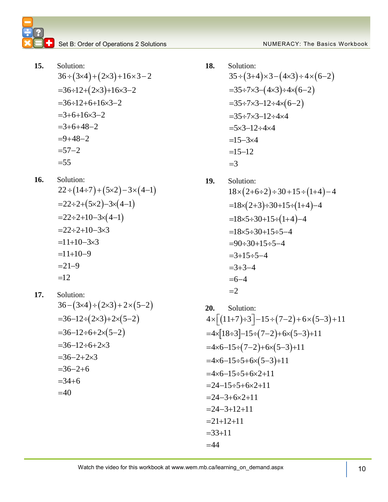15. Solution:  
\n
$$
36 \div (3 \times 4) + (2 \times 3) + 16 \times 3 - 2
$$
\n
$$
= 36 \div 12 + (2 \times 3) + 16 \times 3 - 2
$$
\n
$$
= 36 \div 12 + 6 + 16 \times 3 - 2
$$
\n
$$
= 3 + 6 + 16 \times 3 - 2
$$
\n
$$
= 3 + 6 + 48 - 2
$$
\n
$$
= 9 + 48 - 2
$$
\n
$$
= 57 - 2
$$
\n
$$
= 55
$$

- **16.** Solution: Solution:<br>22 ÷ (14÷7) + (5×2) – 3× (4–1)  $22 \cdot (14 \cdot 7) (3 \times 2)$  3×(-<br>=22÷2+(5×2)-3×(4-1)  $22.2 + (32)$  3x(+ 1)<br>=22÷2+10-3x(4-1)  $-22+2+10-3\times(4-1)$ <br>=22÷2+10-3×3  $=$  $22 \div 2 + 10 - 3 \times 3$ <br>=11+10-3×3  $=11+10-3\times 3$ <br>=11+10-9  $=$ 11+10-5<br>=21-9  $=12$
- **17.** Solution: Solution:<br>36 –  $(3\times4)$  ÷  $(2\times3)$  + 2  $\times$   $(5-2)$  $36 - 12 \div (2 \times 3) + 2 \times (5 - 2)$  $-36 - 12 \div 6 + 2 \times (5 - 2)$  $-36 - 12 \div 6 + 2 \times 3$  $=30-12-0+2x$ <br> $=36-2+2x3$  $=30-2+2\times3$ <br> $=36-2+6$  $=30-2+0$ <br> $=34+6$  $=40$

18. Solution:  
\n
$$
35 \div (3+4) \times 3 - (4 \times 3) \div 4 \times (6-2)
$$
\n
$$
= 35 \div 7 \times 3 - (4 \times 3) \div 4 \times (6-2)
$$
\n
$$
= 35 \div 7 \times 3 - 12 \div 4 \times (6-2)
$$
\n
$$
= 35 \div 7 \times 3 - 12 \div 4 \times 4
$$
\n
$$
= 5 \times 3 - 12 \div 4 \times 4
$$
\n
$$
= 15 - 3 \times 4
$$
\n
$$
= 15 - 12
$$
\n
$$
= 3
$$

19. Solution:  
\n
$$
18 \times (2+6\div 2) \div 30 + 15 \div (1+4) - 4
$$
\n
$$
=18 \times (2+3) \div 30 + 15 \div (1+4) - 4
$$
\n
$$
=18 \times 5 \div 30 + 15 \div (1+4) - 4
$$
\n
$$
=18 \times 5 \div 30 + 15 \div 5 - 4
$$
\n
$$
=90 \div 30 + 15 \div 5 - 4
$$
\n
$$
=3+15 \div 5 - 4
$$
\n
$$
=3+3-4
$$
\n
$$
=6-4
$$
\n
$$
=2
$$

20. Solution:  
\n
$$
4 \times [(11+7)+3]-15 \div (7-2)+6 \times (5-3)+11
$$
\n
$$
=4 \times [18 \div 3]-15 \div (7-2)+6 \times (5-3)+11
$$
\n
$$
=4 \times 6-15 \div (7-2)+6 \times (5-3)+11
$$
\n
$$
=4 \times 6-15 \div 5+6 \times (5-3)+11
$$
\n
$$
=4 \times 6-15 \div 5+6 \times 2+11
$$
\n
$$
=24-15 \div 5+6 \times 2+11
$$
\n
$$
=24-3+6 \times 2+11
$$
\n
$$
=24-3+12+11
$$
\n
$$
=21+12+11
$$
\n
$$
=33+11
$$
\n
$$
=44
$$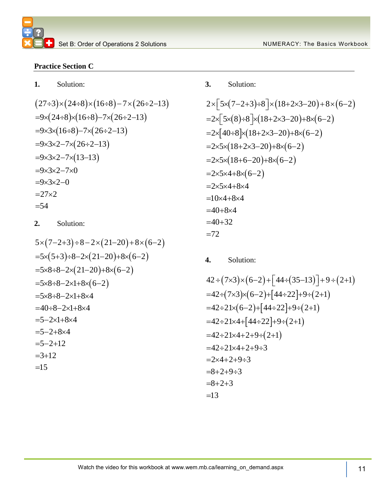### **Practice Section C**

**1.** Solution:

27 ÷ 5566668  
\n
$$
(27\div 3) \times (24\div 8) \times (16\div 8) - 7 \times (26\div 2 - 13)
$$
\n
$$
=9 \times (24\div 8) \times (16\div 8) - 7 \times (26\div 2 - 13)
$$
\n
$$
=9 \times 3 \times (16\div 8) - 7 \times (26\div 2 - 13)
$$
\n
$$
=9 \times 3 \times 2 - 7 \times (26\div 2 - 13)
$$
\n
$$
=9 \times 3 \times 2 - 7 \times (13-13)
$$
\n
$$
=9 \times 3 \times 2 - 7 \times 0
$$
\n
$$
=9 \times 3 \times 2 - 0
$$
\n
$$
=27 \times 2
$$
\n
$$
=54
$$

**2.** Solution:

$$
5 \times (7-2+3) \div 8 - 2 \times (21-20) + 8 \times (6-2)
$$
  
=5×(5+3) ÷ 8-2×(21-20)+8×(6-2)  
=5×8 ÷ 8-2×(21-20)+8×(6-2)  
=5×8 ÷ 8-2×1+8×(6-2)  
=5×8 ÷ 8-2×1+8×4  
=40 ÷ 8-2×1+8×4  
=5-2×1+8×4  
=5-2+8×4  
=5-2+12  
=3+12

### **3.** Solution:

3. Solution:  
\n
$$
2 \times [5 \times (7-2+3)+8] \times (18+2\times3-20)+8 \times (6-2)
$$
\n
$$
=2 \times [5 \times (8)+8] \times (18+2\times3-20)+8 \times (6-2)
$$
\n
$$
=2 \times [40+8] \times (18+2\times3-20)+8 \times (6-2)
$$
\n
$$
=2 \times 5 \times (18+2\times3-20)+8 \times (6-2)
$$
\n
$$
=2 \times 5 \times (18+6-20)+8 \times (6-2)
$$
\n
$$
=2 \times 5 \times 4+8 \times (6-2)
$$
\n
$$
=2 \times 5 \times 4+8 \times 4
$$
\n
$$
=10 \times 4+8 \times 4
$$
\n
$$
=40+32
$$
\n
$$
=72
$$

**4.** Solution:

4. solution:  
\n
$$
42 \div (7 \times 3) \times (6-2) + [44 \div (35-13)] + 9 \div (2+1)
$$
\n
$$
=42 \div (7 \times 3) \times (6-2) + [44 \div 22] + 9 \div (2+1)
$$
\n
$$
=42 \div 21 \times (6-2) + [44 \div 22] + 9 \div (2+1)
$$
\n
$$
=42 \div 21 \times 4 + [44 \div 22] + 9 \div (2+1)
$$
\n
$$
=42 \div 21 \times 4 + 2 + 9 \div (2+1)
$$
\n
$$
=42 \div 21 \times 4 + 2 + 9 \div 3
$$
\n
$$
=2 \times 4 + 2 + 9 \div 3
$$
\n
$$
=8+2+9 \div 3
$$
\n
$$
=8+2+3
$$
\n
$$
=13
$$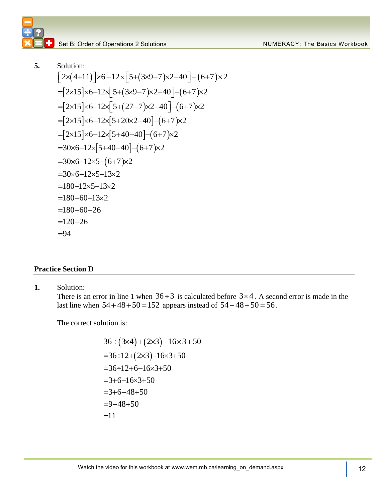**5.** Solution: olution:<br>2×(4+11)]×6−12×[5+(3×9−7)×2−40]−(6+7)×2  $=[2\times15]\times6-12\times[5+(3\times9-7)\times2-40]-(6+7)\times2$ <br>=[2×15]×6-12×[5+(27-7)×2-40]-(6+7)×2  $=[2\times15]\times6-12\times5+(27-7)\times2-40]-(6+7)\times2$ <br>= $[2\times15]\times6-12\times5+20\times2-40]-(6+7)\times2$  $\left[2 \times 15 \times 6 - 12 \times 5 + 20 \times 2 - 40\right] - (6 + 7)$  $\frac{1}{2}$  2×15]×6–12×[5+20×2–40]–(6+7)<br>[2×15]×6–12×[5+40–40]–(6+7)×2  $|5+40-40|-(6+7)$  $(6+7)$  $\times$ (4+11)] $\times$ 6-12 $\times$ [5+(3×9-7) $\times$ 2-40]-(6+<br>2×15] $\times$ 6-12 $\times$ [5+(3×9-7) $\times$ 2-40]-(6+7) $\times$ 2  $=[2\times15]\times6-12\times[5+40-40]-(6+7)\times2$ <br>=30×6-12×[5+40-40]-(6+7)×2  $=30\times6-12\times[5+40-40]-(6+7)$ <br>=30×6-12×5-(6+7)×2 30 Solution:<br> $[2 \times (4+11)] \times 6 - 12 \times [5+(3 \times 9-7) \times 2-40] - (6+7) \times 2$  $\left[2\times(4+11)\right]\times6-12\times\left[5+(3\times9-7)\times2-40\right]-(6+7)\times2$ <br>= $\left[2\times15\right]\times6-12\times\left[5+(3\times9-7)\times2-40\right]-(6+7)\times2$  $=[2\times15]\times6-12\times[5+20\times2-40]-(6+7)\times2$ <br>=[2×15]×6-12×[5+40-40]-(6+7)×2 =30×6-12×5-(6+7)×2<br>=30×6-12×5-13×2  $=30\times6-12\times5-13\times2$ <br>=180-12×5-13×2  $-30\times0-12\times5-13\times2$ <br>=180-12×5-13×2<br>=180-60-13×2  $180 - 60 - 13$ <br> $180 - 60 - 26$  $-180-60-13\times2$ <br>=180-60-26<br>=120-26  $= 94$ =180-60-13×2<br>=180-60-26<br>=120-26

### **Practice Section D**

**1.** Solution:

There is an error in line 1 when  $36 \div 3$  is calculated before  $3 \times 4$ . A second error is made in the last line when  $54 + 48 + 50 = 152$  appears instead of  $54 - 48 + 50 = 56$ .

The correct solution is:

$$
36 \div (3 \times 4) + (2 \times 3) - 16 \times 3 + 50
$$
  
= 36 \div 12 + (2 \times 3) - 16 \times 3 + 50  
= 36 \div 12 + 6 - 16 \times 3 + 50  
= 3 + 6 - 16 \times 3 + 50  
= 3 + 6 - 48 + 50  
= 9 - 48 + 50  
= 11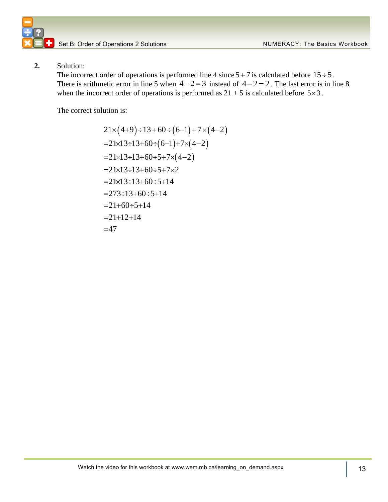### **2.** Solution:

The incorrect order of operations is performed line 4 since  $5+7$  is calculated before  $15 \div 5$ . There is arithmetic error in line 5 when  $4-2=3$  instead of  $4-2=2$ . The last error is in line 8 when the incorrect order of operations is performed as  $21 + 5$  is calculated before  $5 \times 3$ .

The correct solution is:

$$
21 \times (4+9) \div 13 + 60 \div (6-1) + 7 \times (4-2)
$$
  
=21 \times 13 \div 13 + 60 \div (6-1) + 7 \times (4-2)  
=21 \times 13 \div 13 + 60 \div 5 + 7 \times (4-2)  
=21 \times 13 \div 13 + 60 \div 5 + 7 \times 2  
=21 \times 13 \div 13 + 60 \div 5 + 14  
=273 \div 13 + 60 \div 5 + 14  
=21+60 \div 5 + 14  
=21+12+14  
=47